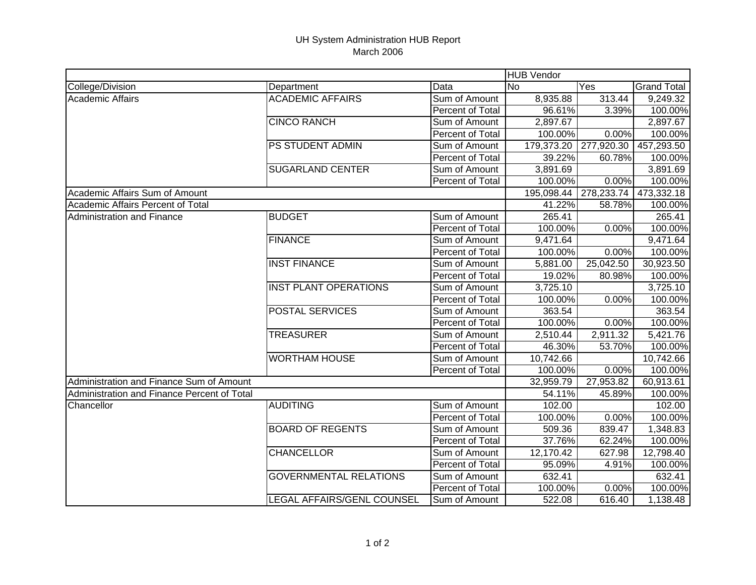## UH System Administration HUB Report March 2006

|                                             |                               |                         | <b>HUB Vendor</b> |            |                    |  |
|---------------------------------------------|-------------------------------|-------------------------|-------------------|------------|--------------------|--|
| College/Division                            | Department                    | Data                    | <b>No</b>         | Yes        | <b>Grand Total</b> |  |
| <b>Academic Affairs</b>                     | <b>ACADEMIC AFFAIRS</b>       | Sum of Amount           | 8,935.88          | 313.44     | 9,249.32           |  |
|                                             |                               | Percent of Total        | 96.61%            | 3.39%      | 100.00%            |  |
|                                             | <b>CINCO RANCH</b>            | Sum of Amount           | 2,897.67          |            | 2,897.67           |  |
|                                             |                               | Percent of Total        | 100.00%           | 0.00%      | 100.00%            |  |
|                                             | <b>PS STUDENT ADMIN</b>       | Sum of Amount           | 179,373.20        | 277,920.30 | 457,293.50         |  |
|                                             |                               | Percent of Total        | 39.22%            | 60.78%     | 100.00%            |  |
|                                             | <b>SUGARLAND CENTER</b>       | Sum of Amount           | 3,891.69          |            | 3,891.69           |  |
|                                             |                               | Percent of Total        | 100.00%           | 0.00%      | 100.00%            |  |
| Academic Affairs Sum of Amount              |                               |                         | 195,098.44        | 278,233.74 | 473,332.18         |  |
| <b>Academic Affairs Percent of Total</b>    |                               |                         | 41.22%            | 58.78%     | 100.00%            |  |
| <b>Administration and Finance</b>           | <b>BUDGET</b>                 | Sum of Amount           | 265.41            |            | 265.41             |  |
|                                             |                               | Percent of Total        | 100.00%           | 0.00%      | 100.00%            |  |
|                                             | <b>FINANCE</b>                | Sum of Amount           | 9,471.64          |            | 9,471.64           |  |
|                                             |                               | Percent of Total        | 100.00%           | 0.00%      | 100.00%            |  |
|                                             | <b>INST FINANCE</b>           | Sum of Amount           | 5,881.00          | 25,042.50  | 30,923.50          |  |
|                                             |                               | Percent of Total        | 19.02%            | 80.98%     | 100.00%            |  |
|                                             | <b>INST PLANT OPERATIONS</b>  | Sum of Amount           | 3,725.10          |            | 3,725.10           |  |
|                                             |                               | Percent of Total        | 100.00%           | 0.00%      | 100.00%            |  |
|                                             | <b>POSTAL SERVICES</b>        | Sum of Amount           | 363.54            |            | 363.54             |  |
|                                             |                               | Percent of Total        | 100.00%           | 0.00%      | 100.00%            |  |
|                                             | <b>TREASURER</b>              | Sum of Amount           | 2,510.44          | 2,911.32   | 5,421.76           |  |
|                                             |                               | Percent of Total        | 46.30%            | 53.70%     | 100.00%            |  |
|                                             | <b>WORTHAM HOUSE</b>          | Sum of Amount           | 10,742.66         |            | 10,742.66          |  |
|                                             |                               | Percent of Total        | 100.00%           | 0.00%      | 100.00%            |  |
| Administration and Finance Sum of Amount    |                               |                         | 32,959.79         | 27,953.82  | 60,913.61          |  |
| Administration and Finance Percent of Total |                               |                         | 54.11%            | 45.89%     | 100.00%            |  |
| Chancellor                                  | <b>AUDITING</b>               | Sum of Amount           | 102.00            |            | 102.00             |  |
|                                             |                               | Percent of Total        | 100.00%           | 0.00%      | 100.00%            |  |
|                                             | <b>BOARD OF REGENTS</b>       | Sum of Amount           | 509.36            | 839.47     | 1,348.83           |  |
|                                             |                               | Percent of Total        | 37.76%            | 62.24%     | 100.00%            |  |
|                                             | <b>CHANCELLOR</b>             | Sum of Amount           | 12,170.42         | 627.98     | 12,798.40          |  |
|                                             |                               | Percent of Total        | 95.09%            | 4.91%      | 100.00%            |  |
|                                             | <b>GOVERNMENTAL RELATIONS</b> | Sum of Amount           | 632.41            |            | 632.41             |  |
|                                             |                               | <b>Percent of Total</b> | 100.00%           | 0.00%      | 100.00%            |  |
|                                             | LEGAL AFFAIRS/GENL COUNSEL    | Sum of Amount           | 522.08            | 616.40     | 1,138.48           |  |